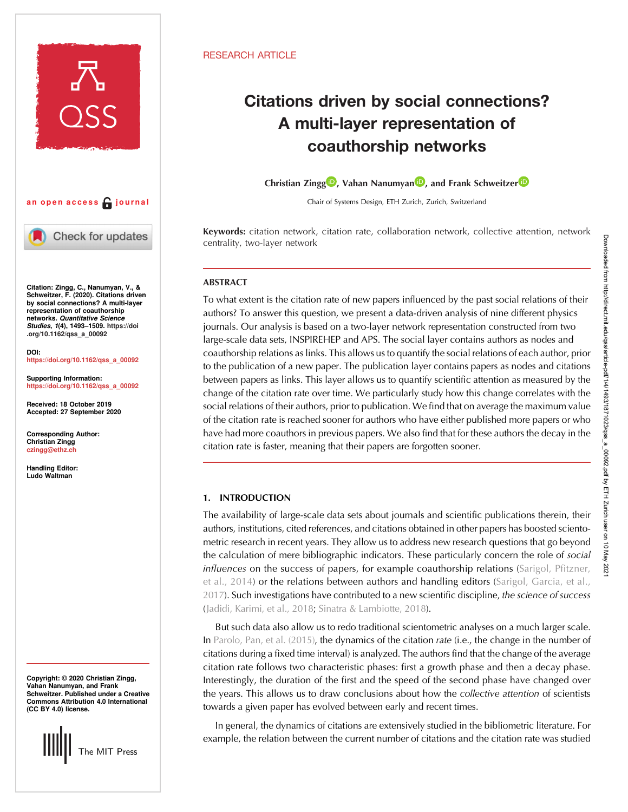



Check for updates

Citation: Zingg, C., Nanumyan, V., & Schweitzer, F. (2020). Citations driven by social connections? A multi-layer representation of coauthorship networks. Quantitative Science Studies, 1(4), 1493–1509. [https://doi](https://doi.org/10.1162/qss_a_00092) [.org/10.1162/qss\\_a\\_00092](https://doi.org/10.1162/qss_a_00092)

DOI: [https://doi.org/10.1162/qss\\_a\\_00092](https://doi.org/10.1162/qss_a_00092)

Supporting Information: [https://doi.org/10.1162/qss\\_a\\_00092](https://doi.org/10.1162/qss_a_00092)

Received: 18 October 2019 Accepted: 27 September 2020

Corresponding Author: Christian Zingg [czingg@ethz.ch](mailto:czingg@ethz.ch)

Handling Editor: Ludo Waltman

Copyright: © 2020 Christian Zingg, Vahan Nanumyan, and Frank Schweitzer. Published under a Creative Commons Attribution 4.0 International (CC BY 4.0) license.



# RESEARCH ARTICLE

# Citations driven by social connections? A multi-layer representation of coauthorship networks

Christian Zingg<sup>in</sup>[,](https://orcid.org/0000-0001-9054-3217) Vahan Nanumyan<sup>n</sup>, and F[r](https://orcid.org/0000-0003-1551-6491)ank Schweitzer<sup>n</sup>

Chair of Systems Design, ETH Zurich, Zurich, Switzerland

Keywords: citation network, citation rate, collaboration network, collective attention, network centrality, two-layer network

# ABSTRACT

To what extent is the citation rate of new papers influenced by the past social relations of their authors? To answer this question, we present a data-driven analysis of nine different physics journals. Our analysis is based on a two-layer network representation constructed from two large-scale data sets, INSPIREHEP and APS. The social layer contains authors as nodes and coauthorship relations as links. This allows us to quantify the social relations of each author, prior to the publication of a new paper. The publication layer contains papers as nodes and citations between papers as links. This layer allows us to quantify scientific attention as measured by the change of the citation rate over time. We particularly study how this change correlates with the social relations of their authors, prior to publication. We find that on average the maximum value of the citation rate is reached sooner for authors who have either published more papers or who have had more coauthors in previous papers. We also find that for these authors the decay in the citation rate is faster, meaning that their papers are forgotten sooner.

# 1. INTRODUCTION

The availability of large-scale data sets about journals and scientific publications therein, their authors, institutions, cited references, and citations obtained in other papers has boosted scientometric research in recent years. They allow us to address new research questions that go beyond the calculation of mere bibliographic indicators. These particularly concern the role of social influences on the success of papers, for example coauthorship relations [\(Sarigol, Pfitzner,](#page-16-0) [et al., 2014](#page-16-0)) or the relations between authors and handling editors ([Sarigol, Garcia, et al.,](#page-16-0) [2017\)](#page-16-0). Such investigations have contributed to a new scientific discipline, the science of success ([Jadidi, Karimi, et al., 2018;](#page-16-0) [Sinatra & Lambiotte, 2018](#page-16-0)).

But such data also allow us to redo traditional scientometric analyses on a much larger scale. In [Parolo, Pan, et al. \(2015\),](#page-16-0) the dynamics of the citation rate (i.e., the change in the number of citations during a fixed time interval) is analyzed. The authors find that the change of the average citation rate follows two characteristic phases: first a growth phase and then a decay phase. Interestingly, the duration of the first and the speed of the second phase have changed over the years. This allows us to draw conclusions about how the collective attention of scientists towards a given paper has evolved between early and recent times.

In general, the dynamics of citations are extensively studied in the bibliometric literature. For example, the relation between the current number of citations and the citation rate was studied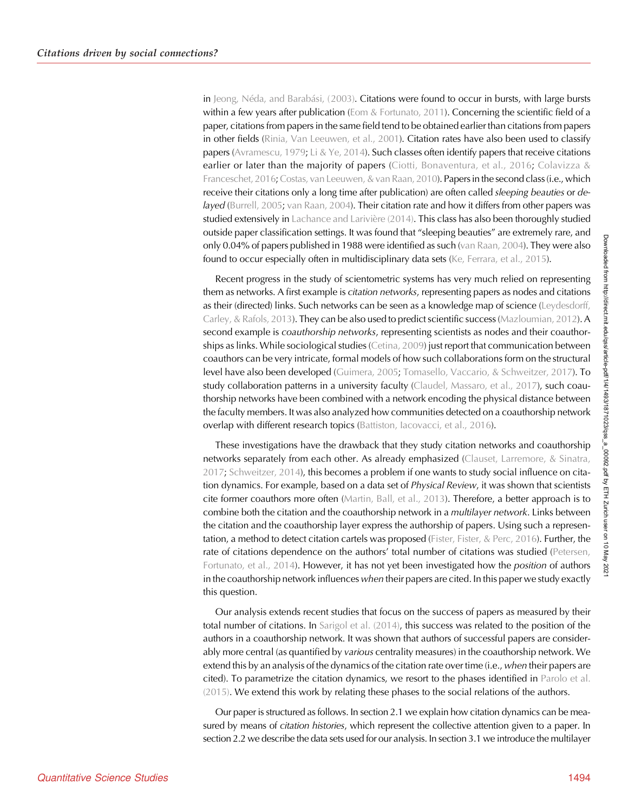in [Jeong, Néda, and Barabási, \(2003\).](#page-16-0) Citations were found to occur in bursts, with large bursts within a few years after publication (Eom  $&$  Fortunato, 2011). Concerning the scientific field of a paper, citations from papers in the same field tend to be obtained earlier than citations from papers in other fields ([Rinia, Van Leeuwen, et al., 2001](#page-16-0)). Citation rates have also been used to classify papers ([Avramescu, 1979;](#page-15-0) [Li & Ye, 2014\)](#page-16-0). Such classes often identify papers that receive citations earlier or later than the majority of papers ([Ciotti, Bonaventura, et al., 2016;](#page-15-0) [Colavizza &](#page-15-0) Franceschet, 2016; Costas, van Leeuwen, & van Raan, 2010). Papers in the second class (i.e., which receive their citations only a long time after publication) are often called *sleeping beauties* or delayed [\(Burrell, 2005](#page-15-0); [van Raan, 2004\)](#page-16-0). Their citation rate and how it differs from other papers was studied extensively in [Lachance and Larivière \(2014\)](#page-16-0). This class has also been thoroughly studied outside paper classification settings. It was found that "sleeping beauties" are extremely rare, and only 0.04% of papers published in 1988 were identified as such [\(van Raan, 2004](#page-16-0)). They were also found to occur especially often in multidisciplinary data sets [\(Ke, Ferrara, et al., 2015](#page-16-0)).

Recent progress in the study of scientometric systems has very much relied on representing them as networks. A first example is *citation networks*, representing papers as nodes and citations as their (directed) links. Such networks can be seen as a knowledge map of science [\(Leydesdorff,](#page-16-0) [Carley, & Rafols, 2013\)](#page-16-0). They can be also used to predict scientific success [\(Mazloumian, 2012\)](#page-16-0). A second example is *coauthorship networks*, representing scientists as nodes and their coauthorships as links. While sociological studies ([Cetina, 2009](#page-15-0)) just report that communication between coauthors can be very intricate, formal models of how such collaborations form on the structural level have also been developed ([Guimera, 2005](#page-16-0); [Tomasello, Vaccario, & Schweitzer, 2017](#page-16-0)). To study collaboration patterns in a university faculty [\(Claudel, Massaro, et al., 2017\)](#page-15-0), such coauthorship networks have been combined with a network encoding the physical distance between the faculty members. It was also analyzed how communities detected on a coauthorship network overlap with different research topics (Battiston, lacovacci, et al., 2016).

These investigations have the drawback that they study citation networks and coauthorship networks separately from each other. As already emphasized [\(Clauset, Larremore, & Sinatra,](#page-15-0) [2017;](#page-15-0) [Schweitzer, 2014\)](#page-16-0), this becomes a problem if one wants to study social influence on citation dynamics. For example, based on a data set of Physical Review, it was shown that scientists cite former coauthors more often ([Martin, Ball, et al., 2013\)](#page-16-0). Therefore, a better approach is to combine both the citation and the coauthorship network in a *multilayer network*. Links between the citation and the coauthorship layer express the authorship of papers. Using such a represen-tation, a method to detect citation cartels was proposed [\(Fister, Fister, & Perc, 2016](#page-16-0)). Further, the rate of citations dependence on the authors' total number of citations was studied [\(Petersen,](#page-16-0) [Fortunato, et al., 2014\)](#page-16-0). However, it has not yet been investigated how the *position* of authors in the coauthorship network influences when their papers are cited. In this paper we study exactly this question.

Our analysis extends recent studies that focus on the success of papers as measured by their total number of citations. In [Sarigol et al. \(2014\),](#page-16-0) this success was related to the position of the authors in a coauthorship network. It was shown that authors of successful papers are considerably more central (as quantified by various centrality measures) in the coauthorship network. We extend this by an analysis of the dynamics of the citation rate over time (i.e., when their papers are cited). To parametrize the citation dynamics, we resort to the phases identified in [Parolo et al.](#page-16-0) [\(2015\).](#page-16-0) We extend this work by relating these phases to the social relations of the authors.

Our paper is structured as follows. In section 2.1 we explain how citation dynamics can be measured by means of citation histories, which represent the collective attention given to a paper. In section 2.2 we describe the data sets used for our analysis. In section 3.1 we introduce the multilayer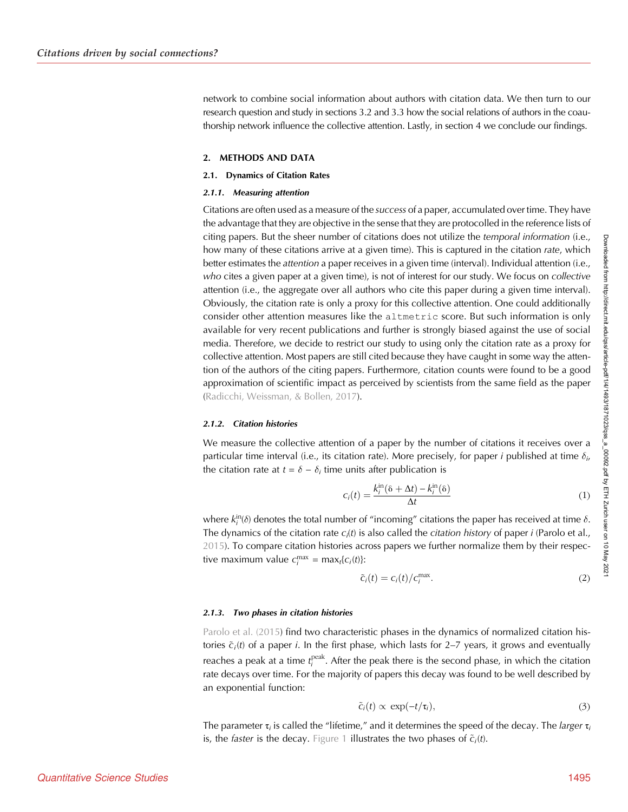network to combine social information about authors with citation data. We then turn to our research question and study in sections 3.2 and 3.3 how the social relations of authors in the coauthorship network influence the collective attention. Lastly, in section 4 we conclude our findings.

## 2. METHODS AND DATA

#### 2.1. Dynamics of Citation Rates

#### 2.1.1. Measuring attention

Citations are often used as a measure of the success of a paper, accumulated over time. They have the advantage that they are objective in the sense that they are protocolled in the reference lists of citing papers. But the sheer number of citations does not utilize the temporal information (i.e., how many of these citations arrive at a given time). This is captured in the citation rate, which better estimates the attention a paper receives in a given time (interval). Individual attention (i.e., who cites a given paper at a given time), is not of interest for our study. We focus on collective attention (i.e., the aggregate over all authors who cite this paper during a given time interval). Obviously, the citation rate is only a proxy for this collective attention. One could additionally consider other attention measures like the altmetric score. But such information is only available for very recent publications and further is strongly biased against the use of social media. Therefore, we decide to restrict our study to using only the citation rate as a proxy for collective attention. Most papers are still cited because they have caught in some way the attention of the authors of the citing papers. Furthermore, citation counts were found to be a good approximation of scientific impact as perceived by scientists from the same field as the paper ([Radicchi, Weissman, & Bollen, 2017](#page-16-0)).

## 2.1.2. Citation histories

We measure the collective attention of a paper by the number of citations it receives over a particular time interval (i.e., its citation rate). More precisely, for paper i published at time  $\delta_{i}$ the citation rate at  $t = \delta - \delta_i$  time units after publication is

$$
c_i(t) = \frac{k_i^{\text{in}}(\delta + \Delta t) - k_i^{\text{in}}(\delta)}{\Delta t}
$$
 (1)

where  $k^{\text{in}}_i(\delta)$  denotes the total number of "incoming" citations the paper has received at time  $\delta.$ The dynamics of the citation rate  $c_i(t)$  is also called the *citation history* of paper *i* (Parolo et al., [2015\)](#page-16-0). To compare citation histories across papers we further normalize them by their respective maximum value  $c_i^{\max} = \max_t \{c_i(t)\}$ :

$$
\tilde{c}_i(t) = c_i(t) / c_i^{\text{max}}.
$$
\n(2)

#### 2.1.3. Two phases in citation histories

[Parolo et al. \(2015](#page-16-0)) find two characteristic phases in the dynamics of normalized citation histories  $\tilde{c}_i(t)$  of a paper i. In the first phase, which lasts for 2–7 years, it grows and eventually reaches a peak at a time  $t_i^{\text{peak}}$ . After the peak there is the second phase, in which the citation rate decays over time. For the majority of papers this decay was found to be well described by an exponential function:

$$
\tilde{c}_i(t) \propto \exp(-t/\tau_i), \tag{3}
$$

The parameter  $\tau_i$  is called the "lifetime," and it determines the speed of the decay. The *larger*  $\tau_i$ is, the *faster* is the decay. [Figure 1](#page-3-0) illustrates the two phases of  $\tilde{c}_i(t)$ .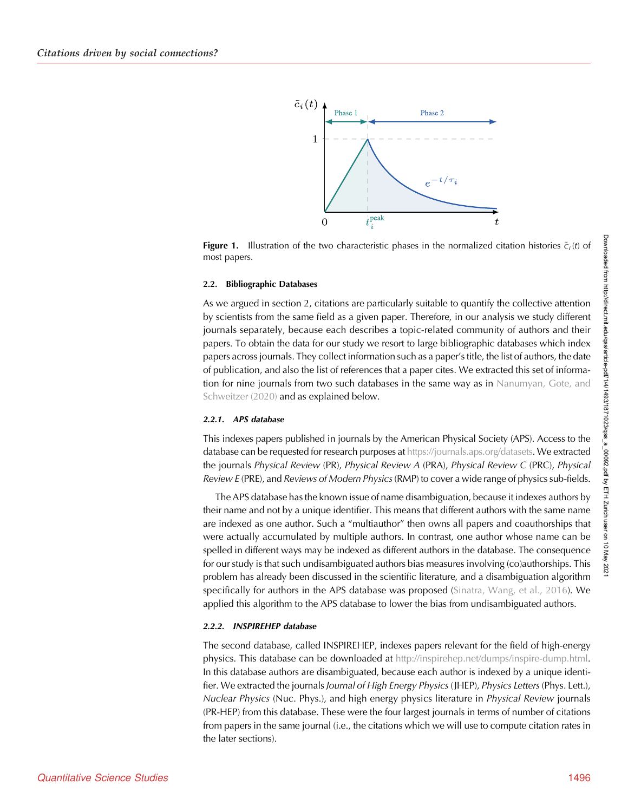<span id="page-3-0"></span>

**Figure 1.** Illustration of the two characteristic phases in the normalized citation histories  $\tilde{c}_i(t)$  of most papers.

#### 2.2. Bibliographic Databases

As we argued in section 2, citations are particularly suitable to quantify the collective attention by scientists from the same field as a given paper. Therefore, in our analysis we study different journals separately, because each describes a topic-related community of authors and their papers. To obtain the data for our study we resort to large bibliographic databases which index papers across journals. They collect information such as a paper's title, the list of authors, the date of publication, and also the list of references that a paper cites. We extracted this set of informa-tion for nine journals from two such databases in the same way as in [Nanumyan, Gote, and](#page-16-0) [Schweitzer \(2020\)](#page-16-0) and as explained below.

#### 2.2.1. APS database

This indexes papers published in journals by the American Physical Society (APS). Access to the database can be requested for research purposes at <https://journals.aps.org/datasets>. We extracted the journals Physical Review (PR), Physical Review A (PRA), Physical Review C (PRC), Physical Review E (PRE), and Reviews of Modern Physics (RMP) to cover a wide range of physics sub-fields.

The APS database has the known issue of name disambiguation, because it indexes authors by their name and not by a unique identifier. This means that different authors with the same name are indexed as one author. Such a "multiauthor" then owns all papers and coauthorships that were actually accumulated by multiple authors. In contrast, one author whose name can be spelled in different ways may be indexed as different authors in the database. The consequence for our study is that such undisambiguated authors bias measures involving (co)authorships. This problem has already been discussed in the scientific literature, and a disambiguation algorithm specifically for authors in the APS database was proposed [\(Sinatra, Wang, et al., 2016](#page-16-0)). We applied this algorithm to the APS database to lower the bias from undisambiguated authors.

## 2.2.2. INSPIREHEP database

The second database, called INSPIREHEP, indexes papers relevant for the field of high-energy physics. This database can be downloaded at <http://inspirehep.net/dumps/inspire-dump.html>. In this database authors are disambiguated, because each author is indexed by a unique identifier. We extracted the journals Journal of High Energy Physics (JHEP), Physics Letters (Phys. Lett.), Nuclear Physics (Nuc. Phys.), and high energy physics literature in Physical Review journals (PR-HEP) from this database. These were the four largest journals in terms of number of citations from papers in the same journal (i.e., the citations which we will use to compute citation rates in the later sections).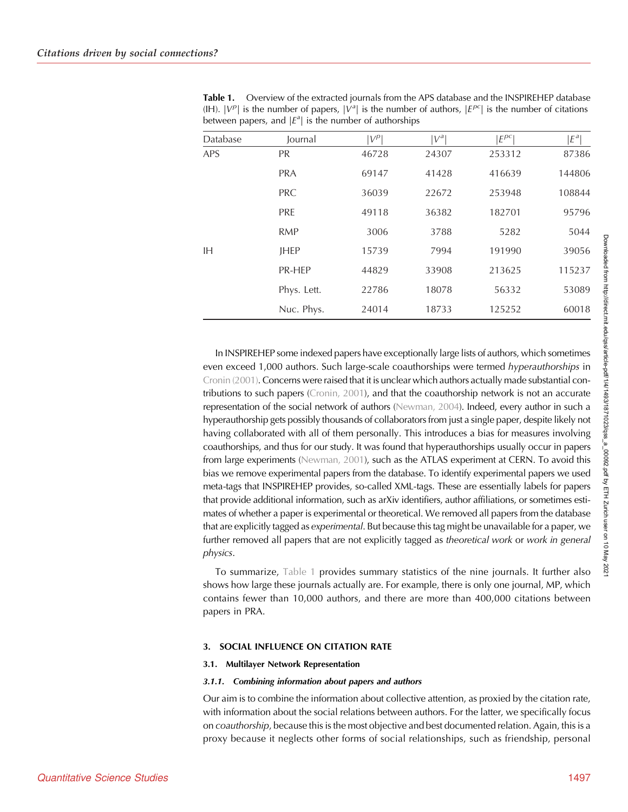| Database | Journal     | $ V^p $ | $ V^a $ | $E^{pc}$ | $E^a$  |
|----------|-------------|---------|---------|----------|--------|
| APS      | <b>PR</b>   | 46728   | 24307   | 253312   | 87386  |
|          | <b>PRA</b>  | 69147   | 41428   | 416639   | 144806 |
|          | <b>PRC</b>  | 36039   | 22672   | 253948   | 108844 |
|          | <b>PRE</b>  | 49118   | 36382   | 182701   | 95796  |
|          | <b>RMP</b>  | 3006    | 3788    | 5282     | 5044   |
| ΙH       | <b>JHEP</b> | 15739   | 7994    | 191990   | 39056  |
|          | PR-HEP      | 44829   | 33908   | 213625   | 115237 |
|          | Phys. Lett. | 22786   | 18078   | 56332    | 53089  |
|          | Nuc. Phys.  | 24014   | 18733   | 125252   | 60018  |

Table 1. Overview of the extracted journals from the APS database and the INSPIREHEP database (IH).  $|V^{\rho}|$  is the number of papers,  $|V^a|$  is the number of authors,  $|E^{\rho c}|$  is the number of citations between papers, and  $|E^a|$  is the number of authorships

In INSPIREHEP some indexed papers have exceptionally large lists of authors, which sometimes even exceed 1,000 authors. Such large-scale coauthorships were termed hyperauthorships in [Cronin \(2001\).](#page-16-0) Concerns were raised that it is unclear which authors actually made substantial contributions to such papers [\(Cronin, 2001](#page-16-0)), and that the coauthorship network is not an accurate representation of the social network of authors [\(Newman, 2004\)](#page-16-0). Indeed, every author in such a hyperauthorship gets possibly thousands of collaborators from just a single paper, despite likely not having collaborated with all of them personally. This introduces a bias for measures involving coauthorships, and thus for our study. It was found that hyperauthorships usually occur in papers from large experiments ([Newman, 2001](#page-16-0)), such as the ATLAS experiment at CERN. To avoid this bias we remove experimental papers from the database. To identify experimental papers we used meta-tags that INSPIREHEP provides, so-called XML-tags. These are essentially labels for papers that provide additional information, such as arXiv identifiers, author affiliations, or sometimes estimates of whether a paper is experimental or theoretical. We removed all papers from the database that are explicitly tagged as experimental. But because this tag might be unavailable for a paper, we further removed all papers that are not explicitly tagged as theoretical work or work in general physics.

To summarize, Table 1 provides summary statistics of the nine journals. It further also shows how large these journals actually are. For example, there is only one journal, MP, which contains fewer than 10,000 authors, and there are more than 400,000 citations between papers in PRA.

## 3. SOCIAL INFLUENCE ON CITATION RATE

#### 3.1. Multilayer Network Representation

#### 3.1.1. Combining information about papers and authors

Our aim is to combine the information about collective attention, as proxied by the citation rate, with information about the social relations between authors. For the latter, we specifically focus on coauthorship, because this is the most objective and best documented relation. Again, this is a proxy because it neglects other forms of social relationships, such as friendship, personal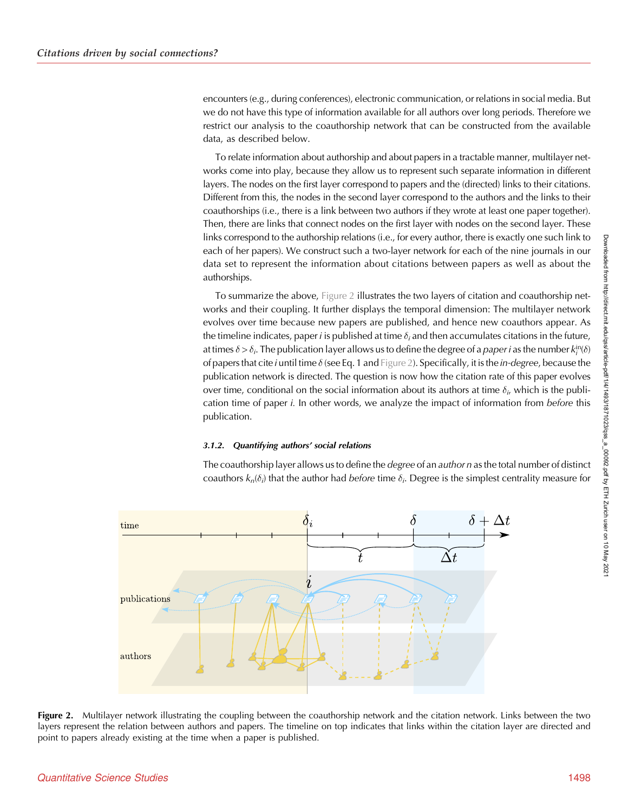encounters (e.g., during conferences), electronic communication, or relations in social media. But we do not have this type of information available for all authors over long periods. Therefore we restrict our analysis to the coauthorship network that can be constructed from the available data, as described below.

To relate information about authorship and about papers in a tractable manner, multilayer networks come into play, because they allow us to represent such separate information in different layers. The nodes on the first layer correspond to papers and the (directed) links to their citations. Different from this, the nodes in the second layer correspond to the authors and the links to their coauthorships (i.e., there is a link between two authors if they wrote at least one paper together). Then, there are links that connect nodes on the first layer with nodes on the second layer. These links correspond to the authorship relations (i.e., for every author, there is exactly one such link to each of her papers). We construct such a two-layer network for each of the nine journals in our data set to represent the information about citations between papers as well as about the authorships.

To summarize the above, Figure 2 illustrates the two layers of citation and coauthorship networks and their coupling. It further displays the temporal dimension: The multilayer network evolves over time because new papers are published, and hence new coauthors appear. As the timeline indicates, paper *i* is published at time  $\delta_i$  and then accumulates citations in the future, at times  $\delta$  >  $\delta_i$ . The publication layer allows us to define the degree of a *paper i* as the number  $k_i^{\text{in}}(\delta)$ of papers that cite i until time  $\delta$  (see Eq. 1 and Figure 2). Specifically, it is the in-degree, because the publication network is directed. The question is now how the citation rate of this paper evolves over time, conditional on the social information about its authors at time  $\delta_{i\prime}$  which is the publication time of paper i. In other words, we analyze the impact of information from before this publication.

# 3.1.2. Quantifying authors' social relations

The coauthorship layer allows us to define the *degree* of an *author n* as the total number of distinct coauthors  $k_n(\delta_i)$  that the author had *before* time  $\delta_i.$  Degree is the simplest centrality measure for



Figure 2. Multilayer network illustrating the coupling between the coauthorship network and the citation network. Links between the two layers represent the relation between authors and papers. The timeline on top indicates that links within the citation layer are directed and point to papers already existing at the time when a paper is published.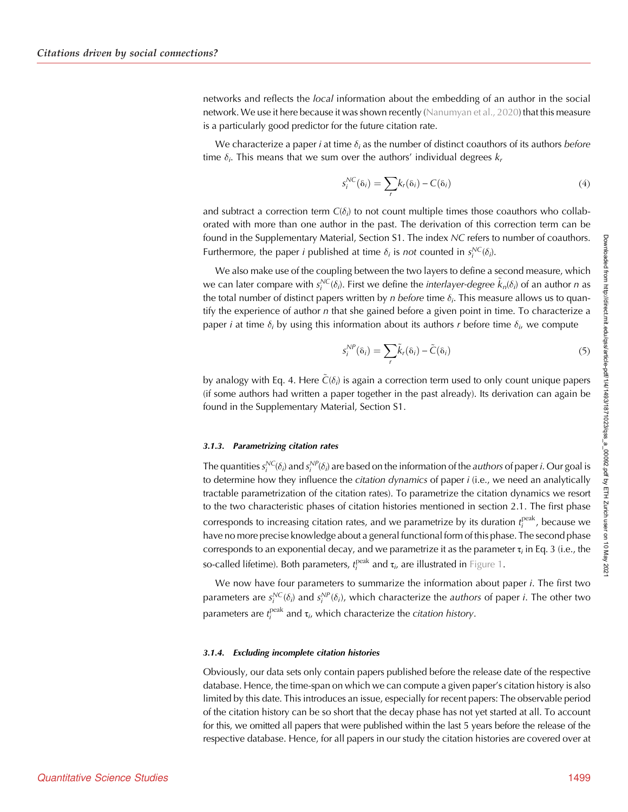networks and reflects the local information about the embedding of an author in the social network. We use it here because it was shown recently ([Nanumyan et al., 2020\)](#page-16-0) that this measure is a particularly good predictor for the future citation rate.

We characterize a paper *i* at time  $\delta_i$  as the number of distinct coauthors of its authors *before* time  $\delta_i$ . This means that we sum over the authors' individual degrees  $k_r$ 

$$
s_i^{NC}(\delta_i) = \sum_r k_r(\delta_i) - C(\delta_i)
$$
\n(4)

and subtract a correction term  $C(\delta_i)$  to not count multiple times those coauthors who collaborated with more than one author in the past. The derivation of this correction term can be found in the Supplementary Material, Section S1. The index NC refers to number of coauthors. Furthermore, the paper *i* published at time  $\delta_i$  is not counted in  $s_i^{NC}(\delta_i)$ .

We also make use of the coupling between the two layers to define a second measure, which we can later compare with  $s^{NC}_i(\delta_i)$ . First we define the *interlayer-degree*  $\tilde k_n(\delta_i)$  of an author  $n$  as the total number of distinct papers written by  $n$  *before* time  $\delta_{i\cdot}$  This measure allows us to quantify the experience of author n that she gained before a given point in time. To characterize a paper i at time  $\delta_i$  by using this information about its authors r before time  $\delta_{i}$ , we compute

$$
s_i^{NP}(\delta_i) = \sum_r \tilde{k}_r(\delta_i) - \tilde{C}(\delta_i)
$$
\n(5)

by analogy with Eq. 4. Here  $\tilde{C}(\delta_i)$  is again a correction term used to only count unique papers (if some authors had written a paper together in the past already). Its derivation can again be found in the Supplementary Material, Section S1.

## 3.1.3. Parametrizing citation rates

The quantities  $s_i^{NC}(\delta_i)$  and  $s_i^{NP}(\delta_i)$  are based on the information of the *authors* of paper *i*. Our goal is to determine how they influence the citation dynamics of paper *i* (i.e., we need an analytically tractable parametrization of the citation rates). To parametrize the citation dynamics we resort to the two characteristic phases of citation histories mentioned in section 2.1. The first phase corresponds to increasing citation rates, and we parametrize by its duration  $t^{\text{peak}}_i$ , because we have no more precise knowledge about a general functional form of this phase. The second phase corresponds to an exponential decay, and we parametrize it as the parameter  $\tau_i$  in Eq. 3 (i.e., the so-called lifetime). Both parameters,  $t_i^{\rm peak}$  and  $\tau_i$ , are illustrated in [Figure 1](#page-3-0).

We now have four parameters to summarize the information about paper *i*. The first two parameters are  $s_i^{NC}(\delta_i)$  and  $s_i^{NP}(\delta_i)$ , which characterize the *authors* of paper *i*. The other two parameters are  $t_i^{\text{peak}}$  and  $\tau_i$ , which characterize the *citation history*.

## 3.1.4. Excluding incomplete citation histories

Obviously, our data sets only contain papers published before the release date of the respective database. Hence, the time-span on which we can compute a given paper's citation history is also limited by this date. This introduces an issue, especially for recent papers: The observable period of the citation history can be so short that the decay phase has not yet started at all. To account for this, we omitted all papers that were published within the last 5 years before the release of the respective database. Hence, for all papers in our study the citation histories are covered over at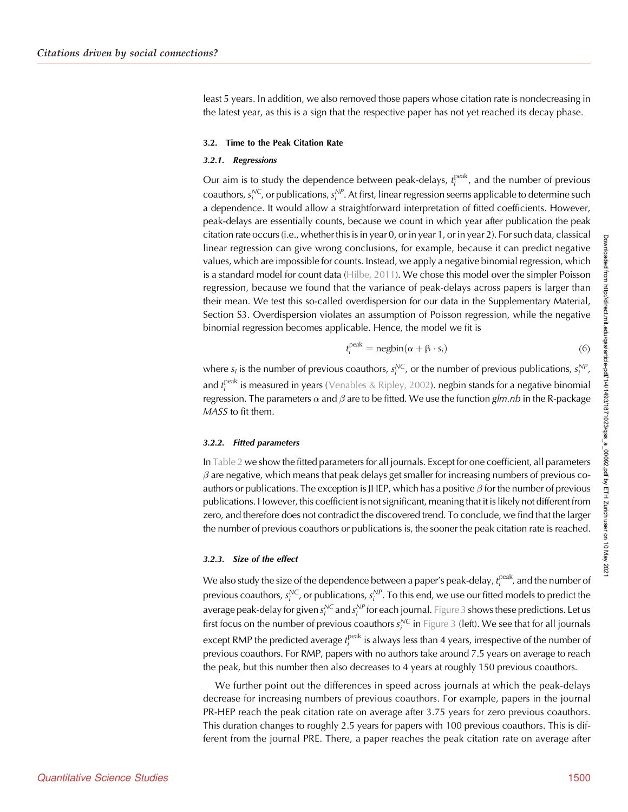least 5 years. In addition, we also removed those papers whose citation rate is nondecreasing in the latest year, as this is a sign that the respective paper has not yet reached its decay phase.

#### 3.2. Time to the Peak Citation Rate

## 3.2.1. Regressions

Our aim is to study the dependence between peak-delays,  $t_i^{\rm peak}$ , and the number of previous coauthors,  $s_i^{\text{NC}}$ , or publications,  $s_i^{\text{NP}}$ . At first, linear regression seems applicable to determine such a dependence. It would allow a straightforward interpretation of fitted coefficients. However, peak-delays are essentially counts, because we count in which year after publication the peak citation rate occurs (i.e., whether this is in year 0, or in year 1, or in year 2). For such data, classical linear regression can give wrong conclusions, for example, because it can predict negative values, which are impossible for counts. Instead, we apply a negative binomial regression, which is a standard model for count data ([Hilbe, 2011\)](#page-16-0). We chose this model over the simpler Poisson regression, because we found that the variance of peak-delays across papers is larger than their mean. We test this so-called overdispersion for our data in the Supplementary Material, Section S3. Overdispersion violates an assumption of Poisson regression, while the negative binomial regression becomes applicable. Hence, the model we fit is

$$
t_i^{\text{peak}} = \text{negbin}(\alpha + \beta \cdot s_i) \tag{6}
$$

where  $s_i$  is the number of previous coauthors,  $s_i^{NC}$ , or the number of previous publications,  $s_i^{NP}$ , and  $t_i^{\text{peak}}$  is measured in years ([Venables & Ripley, 2002\)](#page-16-0). negbin stands for a negative binomial regression. The parameters  $\alpha$  and  $\beta$  are to be fitted. We use the function glm.nb in the R-package MASS to fit them.

#### 3.2.2. Fitted parameters

In [Table 2](#page-8-0) we show the fitted parameters for all journals. Except for one coefficient, all parameters  $\beta$  are negative, which means that peak delays get smaller for increasing numbers of previous coauthors or publications. The exception is JHEP, which has a positive  $\beta$  for the number of previous publications. However, this coefficient is not significant, meaning that it is likely not different from zero, and therefore does not contradict the discovered trend. To conclude, we find that the larger the number of previous coauthors or publications is, the sooner the peak citation rate is reached.

## 3.2.3. Size of the effect

We also study the size of the dependence between a paper's peak-delay,  $t^{\rm peak}_i$ , and the number of previous coauthors,  $s^{\mathsf{NC}}_i$ , or publications,  $s^{\mathsf{NP}}_i$ . To this end, we use our fitted models to predict the average peak-delay for given  $s^{\mathcal{NC}}_i$  and  $s^{\mathcal{NP}}_i$  for each journal. [Figure 3](#page-9-0) shows these predictions. Let us first focus on the number of previous coauthors  $s^{\mathcal{NC}}_i$  in [Figure 3](#page-9-0) (left). We see that for all journals except RMP the predicted average  $t^{\rm peak}_i$  is always less than 4 years, irrespective of the number of previous coauthors. For RMP, papers with no authors take around 7.5 years on average to reach the peak, but this number then also decreases to 4 years at roughly 150 previous coauthors.

We further point out the differences in speed across journals at which the peak-delays decrease for increasing numbers of previous coauthors. For example, papers in the journal PR-HEP reach the peak citation rate on average after 3.75 years for zero previous coauthors. This duration changes to roughly 2.5 years for papers with 100 previous coauthors. This is different from the journal PRE. There, a paper reaches the peak citation rate on average after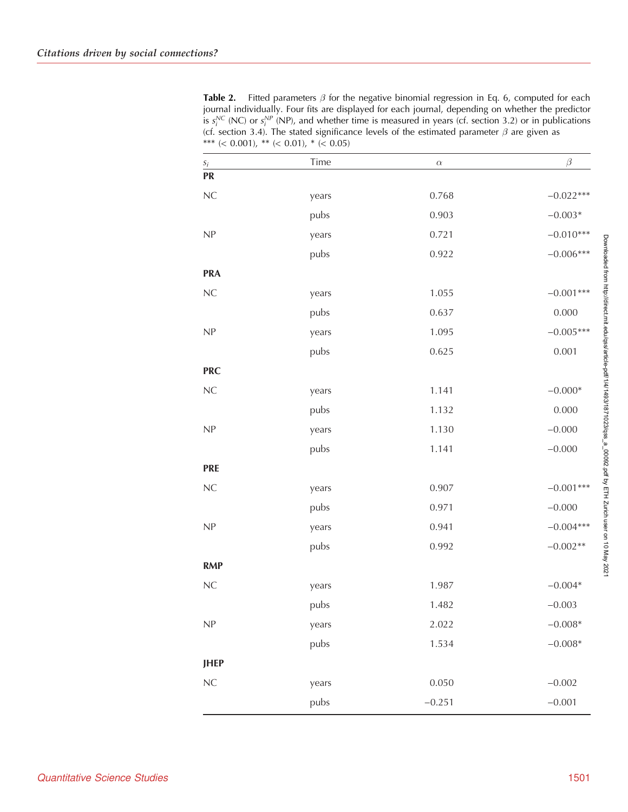<span id="page-8-0"></span>**Table 2.** Fitted parameters  $\beta$  for the negative binomial regression in Eq. 6, computed for each journal individually. Four fits are displayed for each journal, depending on whether the predictor is  $s_i^{NC}$  (NC) or  $s_i^{NP}$  (NP), and whether time is measured in years (cf. section 3.2) or in publications (cf. section 3.4). The stated significance levels of the estimated parameter  $\beta$  are given as \*\*\* (< 0.001), \*\* (< 0.01), \* (< 0.05)

| $S_i$                      | Time  | $\alpha$ | $\beta$     |
|----------------------------|-------|----------|-------------|
| <b>PR</b>                  |       |          |             |
| $\rm NC$                   | years | 0.768    | $-0.022***$ |
|                            | pubs  | 0.903    | $-0.003*$   |
| NP                         | years | 0.721    | $-0.010***$ |
|                            | pubs  | 0.922    | $-0.006***$ |
| <b>PRA</b>                 |       |          |             |
| ${\sf NC}$                 | years | 1.055    | $-0.001***$ |
|                            | pubs  | 0.637    | 0.000       |
| $\ensuremath{\mathsf{NP}}$ | years | 1.095    | $-0.005***$ |
|                            | pubs  | 0.625    | 0.001       |
| <b>PRC</b>                 |       |          |             |
| ${\sf NC}$                 | years | 1.141    | $-0.000*$   |
|                            | pubs  | 1.132    | 0.000       |
| $\ensuremath{\mathsf{NP}}$ | years | 1.130    | $-0.000$    |
|                            | pubs  | 1.141    | $-0.000$    |
| <b>PRE</b>                 |       |          |             |
| ${\sf NC}$                 | years | 0.907    | $-0.001***$ |
|                            | pubs  | 0.971    | $-0.000$    |
| $\ensuremath{\mathsf{NP}}$ | years | 0.941    | $-0.004***$ |
|                            | pubs  | 0.992    | $-0.002**$  |
| <b>RMP</b>                 |       |          |             |
| ${\sf NC}$                 | years | 1.987    | $-0.004*$   |
|                            | pubs  | 1.482    | $-0.003$    |
| NP                         | years | 2.022    | $-0.008*$   |
|                            | pubs  | 1.534    | $-0.008*$   |
| <b>JHEP</b>                |       |          |             |
| $\rm NC$                   | years | 0.050    | $-0.002$    |
|                            | pubs  | $-0.251$ | $-0.001$    |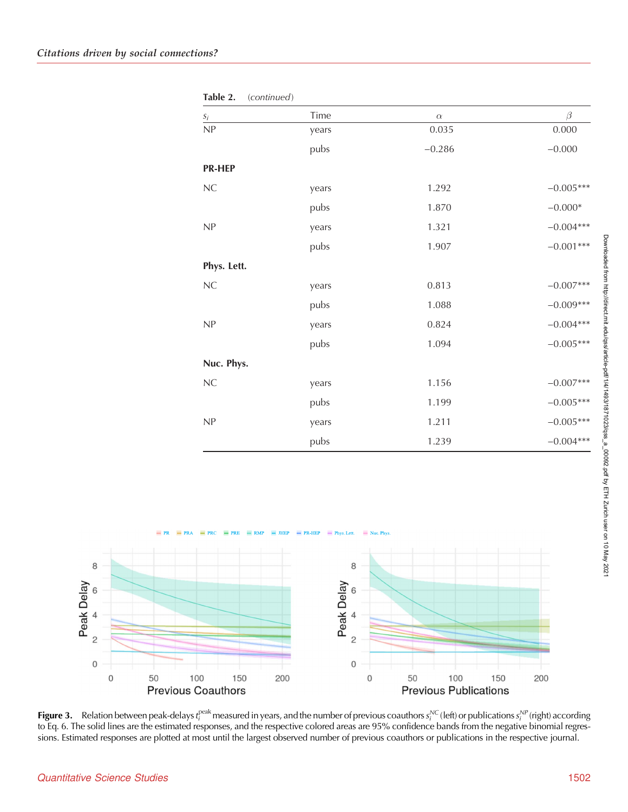<span id="page-9-0"></span>

| $S_i$         | Time  | $\alpha$ | $\beta$     |
|---------------|-------|----------|-------------|
| NP            | years | 0.035    | 0.000       |
|               | pubs  | $-0.286$ | $-0.000$    |
| <b>PR-HEP</b> |       |          |             |
| $\rm NC$      | years | 1.292    | $-0.005***$ |
|               | pubs  | 1.870    | $-0.000*$   |
| NP            | years | 1.321    | $-0.004***$ |
|               | pubs  | 1.907    | $-0.001***$ |
| Phys. Lett.   |       |          |             |
| ${\sf NC}$    | years | 0.813    | $-0.007***$ |
|               | pubs  | 1.088    | $-0.009***$ |
| NP            | years | 0.824    | $-0.004***$ |
|               | pubs  | 1.094    | $-0.005***$ |
| Nuc. Phys.    |       |          |             |
| $\rm NC$      | years | 1.156    | $-0.007***$ |
|               | pubs  | 1.199    | $-0.005***$ |
| NP            | years | 1.211    | $-0.005***$ |
|               | pubs  | 1.239    | $-0.004***$ |

 $= PR-HEP$ Phys. Lett.  $\sim$ 8 8 Peak Delay Peak Delay 6 6  $\overline{4}$  $\overline{4}$  $\overline{c}$  $\overline{c}$  $\mathsf{O}\xspace$  $\mathbf 0$  $\overline{O}$ 100 150  $\overline{0}$ 150 200 50 200 50 100 **Previous Coauthors Previous Publications** 

**Figure 3.** Relation between peak-delays  $t_i^{\text{peak}}$  measured in years, and the number of previous coauthors  $s_i^{\text{NC}}$  (left) or publications  $s_i^{\text{NP}}$  (right) according to Eq. 6. The solid lines are the estimated responses, and the respective colored areas are 95% confidence bands from the negative binomial regressions. Estimated responses are plotted at most until the largest observed number of previous coauthors or publications in the respective journal.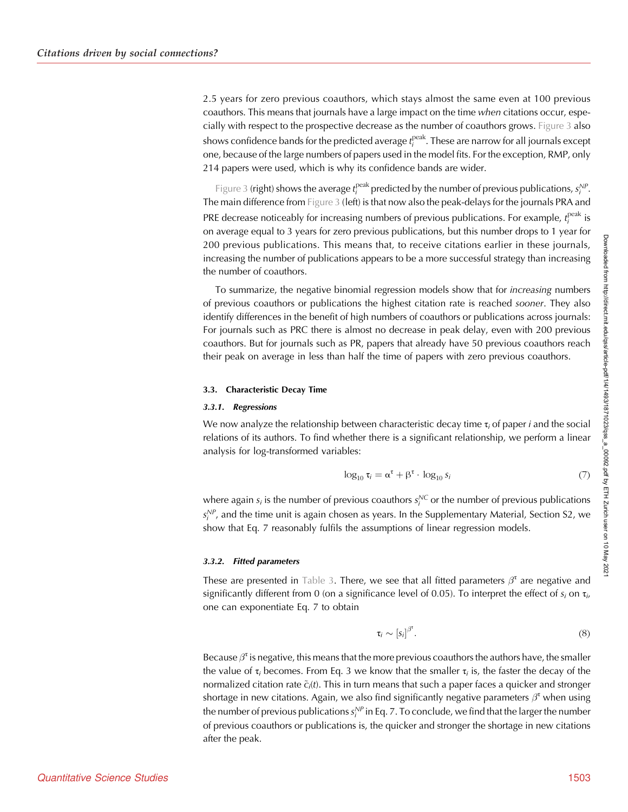2.5 years for zero previous coauthors, which stays almost the same even at 100 previous coauthors. This means that journals have a large impact on the time when citations occur, especially with respect to the prospective decrease as the number of coauthors grows. [Figure 3](#page-9-0) also shows confidence bands for the predicted average  $t_i^{\mathrm{peak}}$ . These are narrow for all journals except one, because of the large numbers of papers used in the model fits. For the exception, RMP, only 214 papers were used, which is why its confidence bands are wider.

[Figure 3](#page-9-0) (right) shows the average  $t_i^{peak}$  predicted by the number of previous publications,  $s_i^{NP}$ . The main difference from [Figure 3](#page-9-0) (left) is that now also the peak-delays for the journals PRA and PRE decrease noticeably for increasing numbers of previous publications. For example,  $t_i^{\rm peak}$  is on average equal to 3 years for zero previous publications, but this number drops to 1 year for 200 previous publications. This means that, to receive citations earlier in these journals, increasing the number of publications appears to be a more successful strategy than increasing the number of coauthors.

To summarize, the negative binomial regression models show that for increasing numbers of previous coauthors or publications the highest citation rate is reached *sooner*. They also identify differences in the benefit of high numbers of coauthors or publications across journals: For journals such as PRC there is almost no decrease in peak delay, even with 200 previous coauthors. But for journals such as PR, papers that already have 50 previous coauthors reach their peak on average in less than half the time of papers with zero previous coauthors.

## 3.3. Characteristic Decay Time

## 3.3.1. Regressions

We now analyze the relationship between characteristic decay time  $\tau_i$  of paper *i* and the social relations of its authors. To find whether there is a significant relationship, we perform a linear analysis for log-transformed variables:

$$
\log_{10} \tau_i = \alpha^{\tau} + \beta^{\tau} \cdot \log_{10} s_i \tag{7}
$$

where again  $s_i$  is the number of previous coauthors  $s_i^{\text{NC}}$  or the number of previous publications  $s_i^{\rm NP}$ , and the time unit is again chosen as years. In the Supplementary Material, Section S2, we show that Eq. 7 reasonably fulfils the assumptions of linear regression models.

#### 3.3.2. Fitted parameters

These are presented in [Table 3.](#page-11-0) There, we see that all fitted parameters  $\beta^{\tau}$  are negative and significantly different from 0 (on a significance level of 0.05). To interpret the effect of  $s_i$  on  $\tau_i$ , one can exponentiate Eq. 7 to obtain

$$
\tau_i \sim [s_i]^{\beta^{\tau}}.\tag{8}
$$

Because  $\beta^{\tau}$  is negative, this means that the more previous coauthors the authors have, the smaller the value of  $\tau_i$  becomes. From Eq. 3 we know that the smaller  $\tau_i$  is, the faster the decay of the normalized citation rate  $\tilde{c}_i$ (t). This in turn means that such a paper faces a quicker and stronger shortage in new citations. Again, we also find significantly negative parameters  $\beta^{\tau}$  when using the number of previous publications  $s_i^{\mathcal{NP}}$  in Eq. 7. To conclude, we find that the larger the number of previous coauthors or publications is, the quicker and stronger the shortage in new citations after the peak.

Downloaded from http://direct.mit.edu/qss/article-pdf/1/4/1493/1871023/qss\_a\_00092.pdf by ETH Zurich user on 10 May 202 Downloaded from http://direct.mit.edu/qss/article-pdf/1/4/1493/1871023/qss\_a\_00092.pdf by ETH Zurich user on 10 May 2021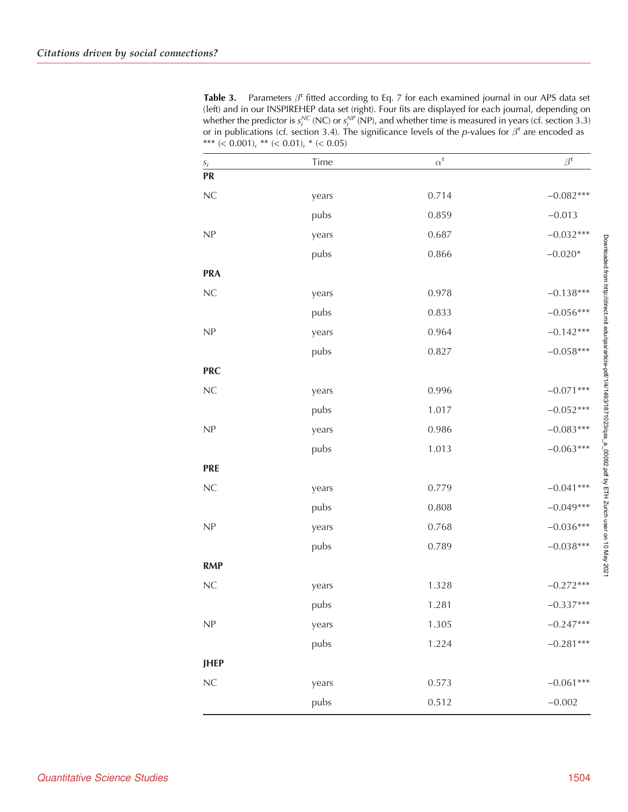<span id="page-11-0"></span>Table 3. Parameters  $\beta^t$  fitted according to Eq. 7 for each examined journal in our APS data set (left) and in our INSPIREHEP data set (right). Four fits are displayed for each journal, depending on whether the predictor is  $s^{\mathcal{NC}}_i$  (NC) or  $s^{\mathcal{NP}}_i$  (NP), and whether time is measured in years (cf. section 3.3) or in publications (cf. section 3.4). The significance levels of the p-values for  $\beta^{\tau}$  are encoded as \*\*\* (< 0.001), \*\* (< 0.01), \* (< 0.05)

| $S_i$                      | Time  | $\alpha^{\tau}$ | $\beta^{\tau}$ |
|----------------------------|-------|-----------------|----------------|
| <b>PR</b>                  |       |                 |                |
| ${\sf NC}$                 | years | 0.714           | $-0.082***$    |
|                            | pubs  | 0.859           | $-0.013$       |
| $\ensuremath{\mathsf{NP}}$ | years | 0.687           | $-0.032***$    |
|                            | pubs  | 0.866           | $-0.020*$      |
| <b>PRA</b>                 |       |                 |                |
| ${\sf NC}$                 | years | 0.978           | $-0.138***$    |
|                            | pubs  | 0.833           | $-0.056***$    |
| $\ensuremath{\mathsf{NP}}$ | years | 0.964           | $-0.142***$    |
|                            | pubs  | 0.827           | $-0.058***$    |
| <b>PRC</b>                 |       |                 |                |
| ${\sf NC}$                 | years | 0.996           | $-0.071***$    |
|                            | pubs  | 1.017           | $-0.052***$    |
| NP                         | years | 0.986           | $-0.083***$    |
|                            | pubs  | 1.013           | $-0.063***$    |
| <b>PRE</b>                 |       |                 |                |
| $\rm NC$                   | years | 0.779           | $-0.041***$    |
|                            | pubs  | 0.808           | $-0.049***$    |
| $\ensuremath{\mathsf{NP}}$ | years | 0.768           | $-0.036***$    |
|                            | pubs  | 0.789           | $-0.038***$    |
| <b>RMP</b>                 |       |                 |                |
| $\rm NC$                   | years | 1.328           | $-0.272***$    |
|                            | pubs  | 1.281           | $-0.337***$    |
| NP                         | years | 1.305           | $-0.247***$    |
|                            | pubs  | 1.224           | $-0.281***$    |
| <b>JHEP</b>                |       |                 |                |
| $\rm NC$                   | years | 0.573           | $-0.061***$    |
|                            | pubs  | 0.512           | $-0.002$       |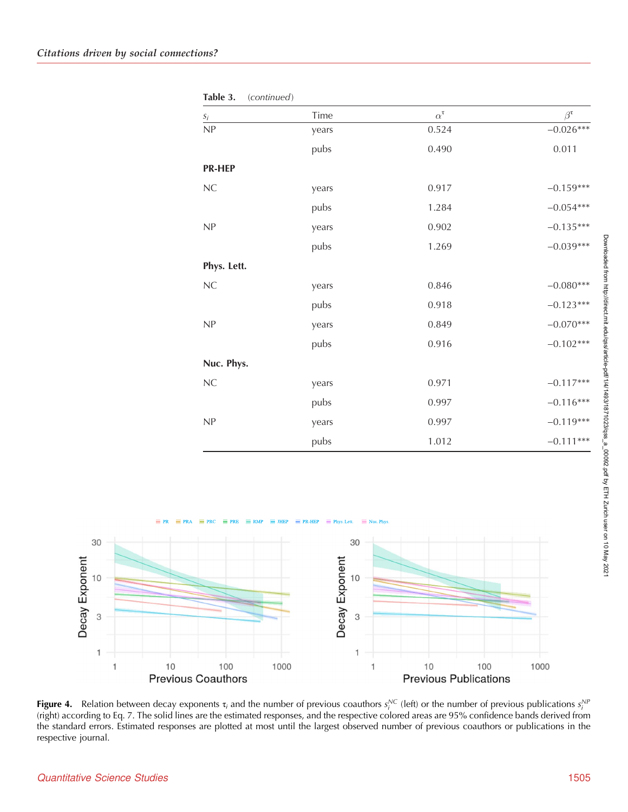<span id="page-12-0"></span>

| $\mathfrak{s}_i$ | Time  | $\alpha^{\tau}$ | $\beta^{\tau}$ |
|------------------|-------|-----------------|----------------|
| NP               | years | 0.524           | $-0.026***$    |
|                  | pubs  | 0.490           | 0.011          |
| <b>PR-HEP</b>    |       |                 |                |
| $\rm NC$         | years | 0.917           | $-0.159***$    |
|                  | pubs  | 1.284           | $-0.054***$    |
| NP               | years | 0.902           | $-0.135***$    |
|                  | pubs  | 1.269           | $-0.039***$    |
| Phys. Lett.      |       |                 |                |
| $\rm NC$         | years | 0.846           | $-0.080***$    |
|                  | pubs  | 0.918           | $-0.123***$    |
| NP               | years | 0.849           | $-0.070***$    |
|                  | pubs  | 0.916           | $-0.102***$    |
| Nuc. Phys.       |       |                 |                |
| $\rm NC$         | years | 0.971           | $-0.117***$    |
|                  | pubs  | 0.997           | $-0.116***$    |
| NP               | years | 0.997           | $-0.119***$    |
|                  | pubs  | 1.012           | $-0.111***$    |

Table 3. (continued)



**Figure 4.** Relation between decay exponents  $\tau_i$  and the number of previous coauthors  $s_i^{NC}$  (left) or the number of previous publications  $s_i^{NP}$ (right) according to Eq. 7. The solid lines are the estimated responses, and the respective colored areas are 95% confidence bands derived from the standard errors. Estimated responses are plotted at most until the largest observed number of previous coauthors or publications in the respective journal.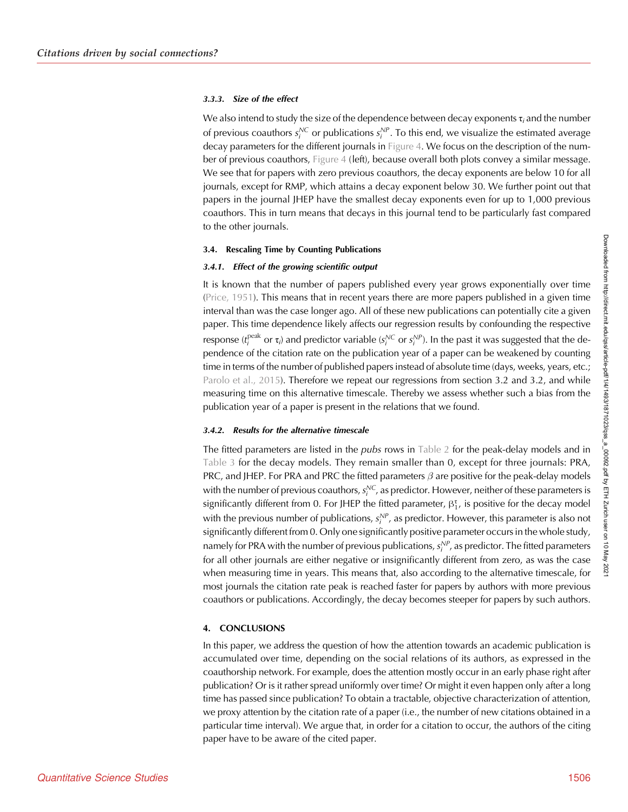## 3.3.3. Size of the effect

We also intend to study the size of the dependence between decay exponents  $\tau_i$  and the number of previous coauthors  $s_i^{\text{NC}}$  or publications  $s_i^{\text{NP}}$ . To this end, we visualize the estimated average decay parameters for the different journals in [Figure 4.](#page-12-0) We focus on the description of the number of previous coauthors, [Figure 4](#page-12-0) (left), because overall both plots convey a similar message. We see that for papers with zero previous coauthors, the decay exponents are below 10 for all journals, except for RMP, which attains a decay exponent below 30. We further point out that papers in the journal JHEP have the smallest decay exponents even for up to 1,000 previous coauthors. This in turn means that decays in this journal tend to be particularly fast compared to the other journals.

# 3.4. Rescaling Time by Counting Publications

## 3.4.1. Effect of the growing scientific output

It is known that the number of papers published every year grows exponentially over time ([Price, 1951](#page-16-0)). This means that in recent years there are more papers published in a given time interval than was the case longer ago. All of these new publications can potentially cite a given paper. This time dependence likely affects our regression results by confounding the respective response ( $t_i^{\text{peak}}$  or  $\tau_i$ ) and predictor variable ( $s_i^{\text{NC}}$  or  $s_i^{\text{NP}}$ ). In the past it was suggested that the dependence of the citation rate on the publication year of a paper can be weakened by counting time in terms of the number of published papers instead of absolute time (days, weeks, years, etc.; [Parolo et al., 2015](#page-16-0)). Therefore we repeat our regressions from section 3.2 and 3.2, and while measuring time on this alternative timescale. Thereby we assess whether such a bias from the publication year of a paper is present in the relations that we found.

# 3.4.2. Results for the alternative timescale

The fitted parameters are listed in the *pubs* rows in [Table 2](#page-8-0) for the peak-delay models and in [Table 3](#page-11-0) for the decay models. They remain smaller than 0, except for three journals: PRA, PRC, and JHEP. For PRA and PRC the fitted parameters  $\beta$  are positive for the peak-delay models with the number of previous coauthors,  $s^{\mathcal{NC}}_i$ , as predictor. However, neither of these parameters is significantly different from 0. For JHEP the fitted parameter,  $\beta_1^{\tau}$ , is positive for the decay model with the previous number of publications,  $s_i^{NP}$ , as predictor. However, this parameter is also not significantly different from 0. Only one significantly positive parameter occurs in the whole study, namely for PRA with the number of previous publications,  $s_i^{NP}$ , as predictor. The fitted parameters for all other journals are either negative or insignificantly different from zero, as was the case when measuring time in years. This means that, also according to the alternative timescale, for most journals the citation rate peak is reached faster for papers by authors with more previous coauthors or publications. Accordingly, the decay becomes steeper for papers by such authors.

# 4. CONCLUSIONS

In this paper, we address the question of how the attention towards an academic publication is accumulated over time, depending on the social relations of its authors, as expressed in the coauthorship network. For example, does the attention mostly occur in an early phase right after publication? Or is it rather spread uniformly over time? Or might it even happen only after a long time has passed since publication? To obtain a tractable, objective characterization of attention, we proxy attention by the citation rate of a paper (i.e., the number of new citations obtained in a particular time interval). We argue that, in order for a citation to occur, the authors of the citing paper have to be aware of the cited paper.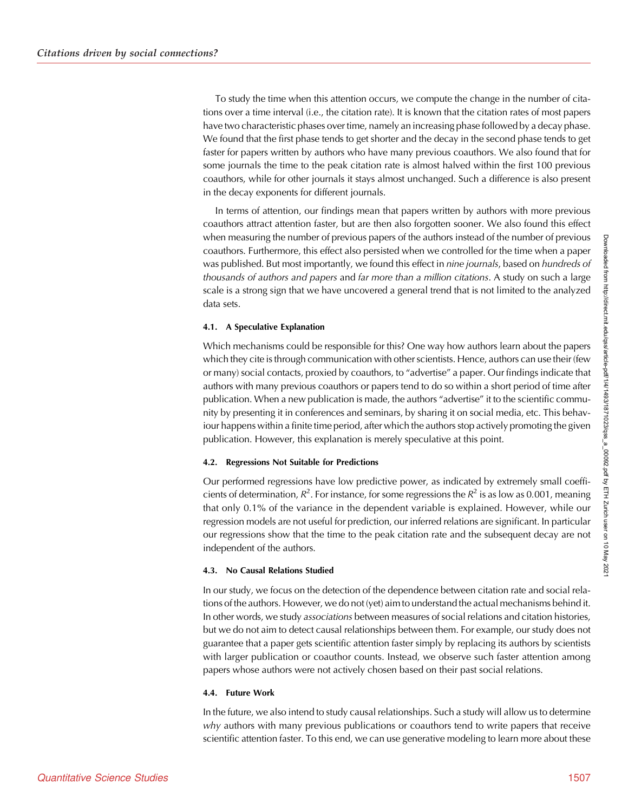To study the time when this attention occurs, we compute the change in the number of citations over a time interval (i.e., the citation rate). It is known that the citation rates of most papers have two characteristic phases over time, namely an increasing phase followed by a decay phase. We found that the first phase tends to get shorter and the decay in the second phase tends to get faster for papers written by authors who have many previous coauthors. We also found that for some journals the time to the peak citation rate is almost halved within the first 100 previous coauthors, while for other journals it stays almost unchanged. Such a difference is also present in the decay exponents for different journals.

In terms of attention, our findings mean that papers written by authors with more previous coauthors attract attention faster, but are then also forgotten sooner. We also found this effect when measuring the number of previous papers of the authors instead of the number of previous coauthors. Furthermore, this effect also persisted when we controlled for the time when a paper was published. But most importantly, we found this effect in nine journals, based on hundreds of thousands of authors and papers and far more than a million citations. A study on such a large scale is a strong sign that we have uncovered a general trend that is not limited to the analyzed data sets.

## 4.1. A Speculative Explanation

Which mechanisms could be responsible for this? One way how authors learn about the papers which they cite is through communication with other scientists. Hence, authors can use their (few or many) social contacts, proxied by coauthors, to "advertise" a paper. Our findings indicate that authors with many previous coauthors or papers tend to do so within a short period of time after publication. When a new publication is made, the authors "advertise" it to the scientific community by presenting it in conferences and seminars, by sharing it on social media, etc. This behaviour happens within a finite time period, after which the authors stop actively promoting the given publication. However, this explanation is merely speculative at this point.

## 4.2. Regressions Not Suitable for Predictions

Our performed regressions have low predictive power, as indicated by extremely small coefficients of determination,  $R^2$ . For instance, for some regressions the  $R^2$  is as low as 0.001, meaning that only 0.1% of the variance in the dependent variable is explained. However, while our regression models are not useful for prediction, our inferred relations are significant. In particular our regressions show that the time to the peak citation rate and the subsequent decay are not independent of the authors.

# 4.3. No Causal Relations Studied

In our study, we focus on the detection of the dependence between citation rate and social relations of the authors. However, we do not (yet) aim to understand the actual mechanisms behind it. In other words, we study associations between measures of social relations and citation histories, but we do not aim to detect causal relationships between them. For example, our study does not guarantee that a paper gets scientific attention faster simply by replacing its authors by scientists with larger publication or coauthor counts. Instead, we observe such faster attention among papers whose authors were not actively chosen based on their past social relations.

## 4.4. Future Work

In the future, we also intend to study causal relationships. Such a study will allow us to determine why authors with many previous publications or coauthors tend to write papers that receive scientific attention faster. To this end, we can use generative modeling to learn more about these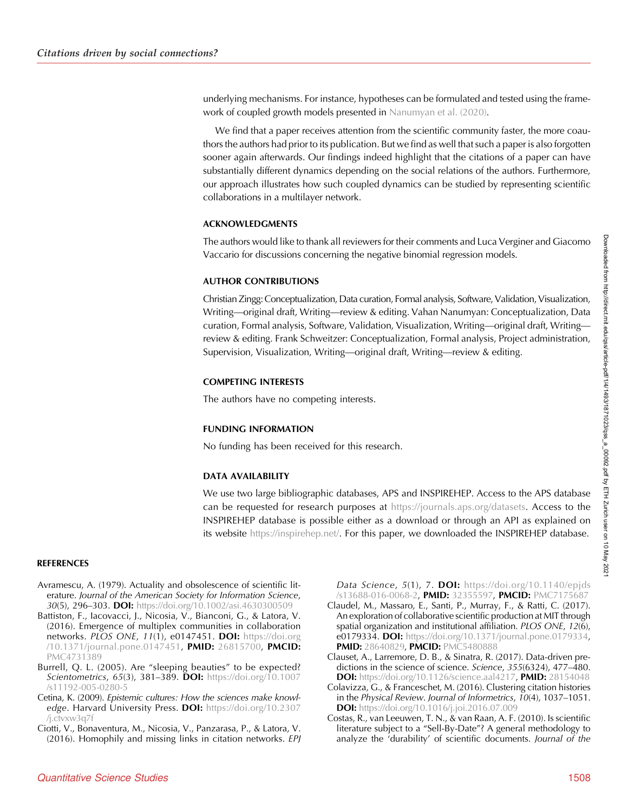<span id="page-15-0"></span>underlying mechanisms. For instance, hypotheses can be formulated and tested using the framework of coupled growth models presented in [Nanumyan et al. \(2020\)](#page-16-0).

We find that a paper receives attention from the scientific community faster, the more coauthors the authors had prior to its publication. But we find as well that such a paper is also forgotten sooner again afterwards. Our findings indeed highlight that the citations of a paper can have substantially different dynamics depending on the social relations of the authors. Furthermore, our approach illustrates how such coupled dynamics can be studied by representing scientific collaborations in a multilayer network.

## ACKNOWLEDGMENTS

The authors would like to thank all reviewers for their comments and Luca Verginer and Giacomo Vaccario for discussions concerning the negative binomial regression models.

## AUTHOR CONTRIBUTIONS

Christian Zingg: Conceptualization, Data curation, Formal analysis, Software, Validation, Visualization, Writing—original draft, Writing—review & editing. Vahan Nanumyan: Conceptualization, Data curation, Formal analysis, Software, Validation, Visualization, Writing—original draft, Writing review & editing. Frank Schweitzer: Conceptualization, Formal analysis, Project administration, Supervision, Visualization, Writing—original draft, Writing—review & editing.

## COMPETING INTERESTS

The authors have no competing interests.

# FUNDING INFORMATION

No funding has been received for this research.

# DATA AVAILABILITY

We use two large bibliographic databases, APS and INSPIREHEP. Access to the APS database can be requested for research purposes at [https://journals.aps.org/datasets.](https://journals.aps.org/datasets) Access to the INSPIREHEP database is possible either as a download or through an API as explained on its website [https://inspirehep.net/.](https://inspirehep.net/) For this paper, we downloaded the INSPIREHEP database.

## **REFERENCES**

- Avramescu, A. (1979). Actuality and obsolescence of scientific literature. Journal of the American Society for Information Science, 30(5), 296–303. DOI: <https://doi.org/10.1002/asi.4630300509>
- Battiston, F., Iacovacci, J., Nicosia, V., Bianconi, G., & Latora, V. (2016). Emergence of multiplex communities in collaboration networks. PLOS ONE, 11(1), e0147451. DOI: [https://doi.org](https://doi.org/10.1371/journal.pone.0147451) [/10.1371/journal.pone.0147451,](https://doi.org/10.1371/journal.pone.0147451) PMID: [26815700,](https://europepmc.org/article/MED/26815700) PMCID: [PMC4731389](https://www.ncbi.nlm.nih.gov/pmc/articles/PMC4731389)
- Burrell, Q. L. (2005). Are "sleeping beauties" to be expected? Scientometrics, 65(3), 381-389. DOI: [https://doi.org/10.1007](https://doi.org/10.1007/s11192-005-0280-5) [/s11192-005-0280-5](https://doi.org/10.1007/s11192-005-0280-5)
- Cetina, K. (2009). Epistemic cultures: How the sciences make knowledge. Harvard University Press. DOI: [https://doi.org/10.2307](https://doi.org/10.2307/j.ctvxw3q7f) [/j.ctvxw3q7f](https://doi.org/10.2307/j.ctvxw3q7f)
- Ciotti, V., Bonaventura, M., Nicosia, V., Panzarasa, P., & Latora, V. (2016). Homophily and missing links in citation networks. EPJ

Data Science, 5(1), 7. DOI: [https://doi.org/10.1140/epjds](https://doi.org/10.1140/epjds/s13688-016-0068-2) [/s13688-016-0068-2](https://doi.org/10.1140/epjds/s13688-016-0068-2), PMID: [32355597,](https://europepmc.org/article/MED/32355597) PMCID: [PMC7175687](https://www.ncbi.nlm.nih.gov/pmc/articles/PMC7175687)

- Claudel, M., Massaro, E., Santi, P., Murray, F., & Ratti, C. (2017). An exploration of collaborative scientific production at MIT through spatial organization and institutional affiliation. PLOS ONE, 12(6), e0179334. DOI: [https://doi.org/10.1371/journal.pone.0179334,](https://doi.org/10.1371/journal.pone.0179334) PMID: [28640829](https://europepmc.org/article/MED/28640829), PMCID: [PMC5480888](https://www.ncbi.nlm.nih.gov/pmc/articles/PMC5480888)
- Clauset, A., Larremore, D. B., & Sinatra, R. (2017). Data-driven predictions in the science of science. Science, 355(6324), 477–480. **DOI:** [https://doi.org/10.1126/science.aal4217,](https://doi.org/10.1126/science.aal4217) PMID: [28154048](https://europepmc.org/article/MED/28154048)
- Colavizza, G., & Franceschet, M. (2016). Clustering citation histories in the Physical Review. Journal of Informetrics,  $10(4)$ , 1037–1051. DOI: <https://doi.org/10.1016/j.joi.2016.07.009>
- Costas, R., van Leeuwen, T. N., & van Raan, A. F. (2010). Is scientific literature subject to a "Sell-By-Date"? A general methodology to analyze the 'durability' of scientific documents. Journal of the